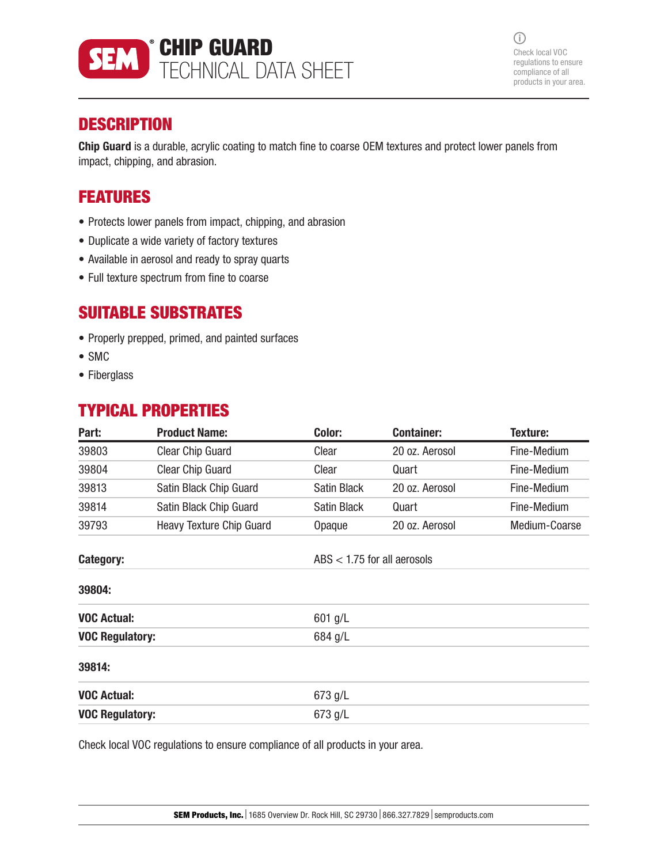

 $\bigcirc$ Check local VOC regulations to ensure compliance of all products in your area.

## **DESCRIPTION**

Chip Guard is a durable, acrylic coating to match fine to coarse OEM textures and protect lower panels from impact, chipping, and abrasion.

## FEATURES

- Protects lower panels from impact, chipping, and abrasion
- Duplicate a wide variety of factory textures
- Available in aerosol and ready to spray quarts
- Full texture spectrum from fine to coarse

## SUITABLE SUBSTRATES

- Properly prepped, primed, and painted surfaces
- SMC
- Fiberglass

## TYPICAL PROPERTIES

| Part:                  | <b>Product Name:</b>     | Color:                        | <b>Container:</b> | Texture:      |
|------------------------|--------------------------|-------------------------------|-------------------|---------------|
| 39803                  | <b>Clear Chip Guard</b>  | Clear                         | 20 oz. Aerosol    | Fine-Medium   |
| 39804                  | <b>Clear Chip Guard</b>  | Clear                         | Quart             | Fine-Medium   |
| 39813                  | Satin Black Chip Guard   | Satin Black                   | 20 oz. Aerosol    | Fine-Medium   |
| 39814                  | Satin Black Chip Guard   | <b>Satin Black</b>            | Quart             | Fine-Medium   |
| 39793                  | Heavy Texture Chip Guard | Opaque                        | 20 oz. Aerosol    | Medium-Coarse |
| Category:              |                          | ABS $<$ 1.75 for all aerosols |                   |               |
| 39804:                 |                          |                               |                   |               |
| <b>VOC Actual:</b>     |                          | $601$ g/L                     |                   |               |
| <b>VOC Regulatory:</b> |                          | 684 g/L                       |                   |               |
| 39814:                 |                          |                               |                   |               |
| <b>VOC Actual:</b>     |                          | 673 g/L                       |                   |               |
| <b>VOC Regulatory:</b> |                          | 673 g/L                       |                   |               |

Check local VOC regulations to ensure compliance of all products in your area.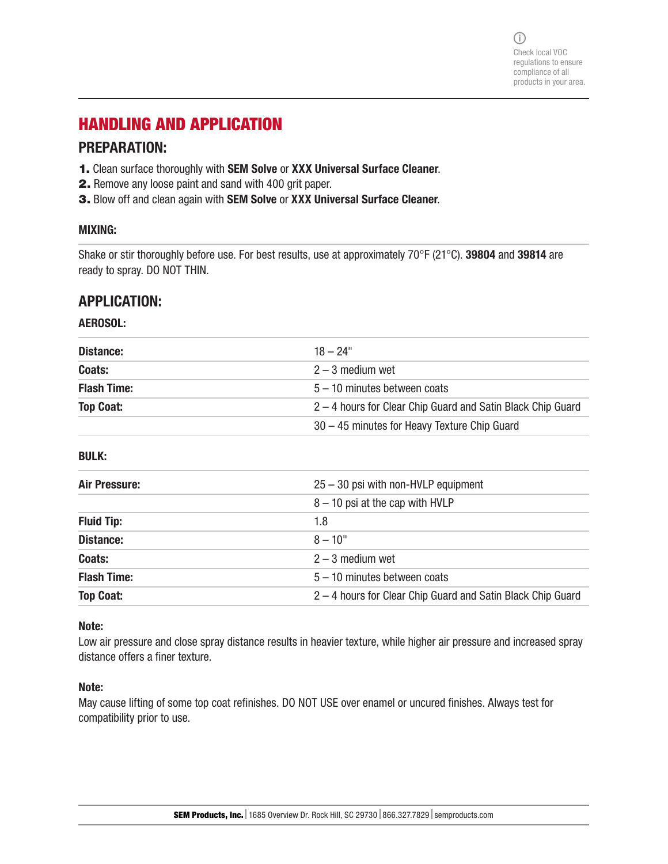$(i)$ Check local VOC regulations to ensure compliance of all products in your area.

# HANDLING AND APPLICATION

### PREPARATION:

- 1. Clean surface thoroughly with SEM Solve or XXX Universal Surface Cleaner.
- 2. Remove any loose paint and sand with 400 grit paper.
- 3. Blow off and clean again with SEM Solve or XXX Universal Surface Cleaner.

### MIXING:

Shake or stir thoroughly before use. For best results, use at approximately 70°F (21°C). 39804 and 39814 are ready to spray. DO NOT THIN.

### APPLICATION:

### AEROSOL:

| Distance:          | $18 - 24"$                                                  |
|--------------------|-------------------------------------------------------------|
| Coats:             | $2 - 3$ medium wet                                          |
| <b>Flash Time:</b> | $5 - 10$ minutes between coats                              |
| <b>Top Coat:</b>   | 2 – 4 hours for Clear Chip Guard and Satin Black Chip Guard |
|                    | 30 – 45 minutes for Heavy Texture Chip Guard                |

BULK:

| Air Pressure:      | $25 - 30$ psi with non-HVLP equipment                       |
|--------------------|-------------------------------------------------------------|
|                    | $8 - 10$ psi at the cap with HVLP                           |
| <b>Fluid Tip:</b>  | 1.8                                                         |
| Distance:          | $8 - 10$ "                                                  |
| Coats:             | $2 - 3$ medium wet                                          |
| <b>Flash Time:</b> | $5 - 10$ minutes between coats                              |
| <b>Top Coat:</b>   | 2 - 4 hours for Clear Chip Guard and Satin Black Chip Guard |

#### Note:

Low air pressure and close spray distance results in heavier texture, while higher air pressure and increased spray distance offers a finer texture.

#### Note:

May cause lifting of some top coat refinishes. DO NOT USE over enamel or uncured finishes. Always test for compatibility prior to use.